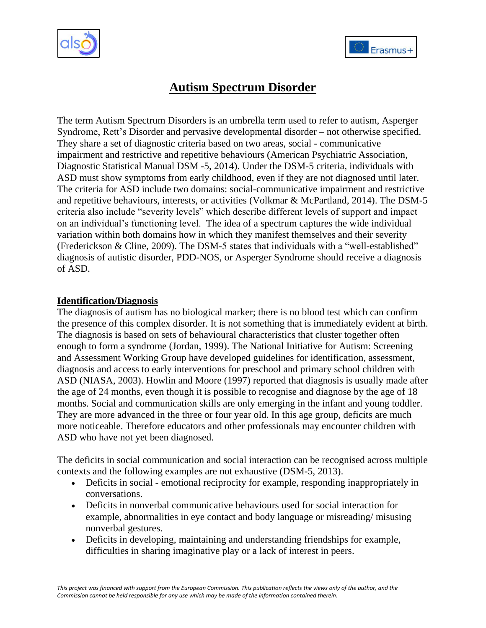



# **Autism Spectrum Disorder**

The term Autism Spectrum Disorders is an umbrella term used to refer to autism, Asperger Syndrome, Rett's Disorder and pervasive developmental disorder – not otherwise specified. They share a set of diagnostic criteria based on two areas, social - communicative impairment and restrictive and repetitive behaviours (American Psychiatric Association, Diagnostic Statistical Manual DSM -5, 2014). Under the DSM-5 criteria, individuals with ASD must show symptoms from early childhood, even if they are not diagnosed until later. The criteria for ASD include two domains: social-communicative impairment and restrictive and repetitive behaviours, interests, or activities (Volkmar & McPartland, 2014). The DSM-5 criteria also include "severity levels" which describe different levels of support and impact on an individual"s functioning level. The idea of a spectrum captures the wide individual variation within both domains how in which they manifest themselves and their severity (Frederickson & Cline, 2009). The DSM-5 states that individuals with a "well-established" diagnosis of autistic disorder, PDD-NOS, or Asperger Syndrome should receive a diagnosis of ASD.

## **Identification/Diagnosis**

The diagnosis of autism has no biological marker; there is no blood test which can confirm the presence of this complex disorder. It is not something that is immediately evident at birth. The diagnosis is based on sets of behavioural characteristics that cluster together often enough to form a syndrome (Jordan, 1999). The National Initiative for Autism: Screening and Assessment Working Group have developed guidelines for identification, assessment, diagnosis and access to early interventions for preschool and primary school children with ASD (NIASA, 2003). Howlin and Moore (1997) reported that diagnosis is usually made after the age of 24 months, even though it is possible to recognise and diagnose by the age of 18 months. Social and communication skills are only emerging in the infant and young toddler. They are more advanced in the three or four year old. In this age group, deficits are much more noticeable. Therefore educators and other professionals may encounter children with ASD who have not yet been diagnosed.

The deficits in social communication and social interaction can be recognised across multiple contexts and the following examples are not exhaustive (DSM-5, 2013).

- Deficits in social emotional reciprocity for example, responding inappropriately in conversations.
- Deficits in nonverbal communicative behaviours used for social interaction for example, abnormalities in eye contact and body language or misreading/ misusing nonverbal gestures.
- Deficits in developing, maintaining and understanding friendships for example, difficulties in sharing imaginative play or a lack of interest in peers.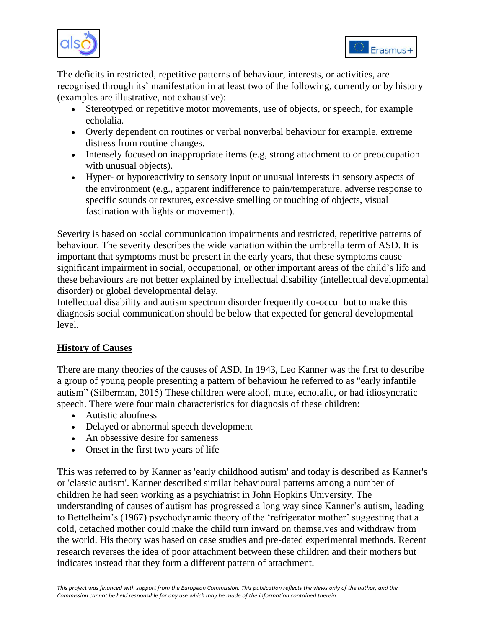



The deficits in restricted, repetitive patterns of behaviour, interests, or activities, are recognised through its' manifestation in at least two of the following, currently or by history (examples are illustrative, not exhaustive):

- Stereotyped or repetitive motor movements, use of objects, or speech, for example echolalia.
- Overly dependent on routines or verbal nonverbal behaviour for example, extreme distress from routine changes.
- Intensely focused on inappropriate items (e.g, strong attachment to or preoccupation with unusual objects).
- Hyper- or hyporeactivity to sensory input or unusual interests in sensory aspects of the environment (e.g., apparent indifference to pain/temperature, adverse response to specific sounds or textures, excessive smelling or touching of objects, visual fascination with lights or movement).

Severity is based on social communication impairments and restricted, repetitive patterns of behaviour. The severity describes the wide variation within the umbrella term of ASD. It is important that symptoms must be present in the early years, that these symptoms cause significant impairment in social, occupational, or other important areas of the child"s life and these behaviours are not better explained by intellectual disability (intellectual developmental disorder) or global developmental delay.

Intellectual disability and autism spectrum disorder frequently co-occur but to make this diagnosis social communication should be below that expected for general developmental level.

# **History of Causes**

There are many theories of the causes of ASD. In 1943, Leo Kanner was the first to describe a group of young people presenting a pattern of behaviour he referred to as "early infantile autism" (Silberman, 2015) These children were aloof, mute, echolalic, or had idiosyncratic speech. There were four main characteristics for diagnosis of these children:

- Autistic aloofness
- Delayed or abnormal speech development
- An obsessive desire for sameness
- Onset in the first two years of life

This was referred to by Kanner as 'early childhood autism' and today is described as Kanner's or 'classic autism'. Kanner described similar behavioural patterns among a number of children he had seen working as a psychiatrist in John Hopkins University. The understanding of causes of autism has progressed a long way since Kanner"s autism, leading to Bettelheim"s (1967) psychodynamic theory of the "refrigerator mother" suggesting that a cold, detached mother could make the child turn inward on themselves and withdraw from the world. His theory was based on case studies and pre-dated experimental methods. Recent research reverses the idea of poor attachment between these children and their mothers but indicates instead that they form a different pattern of attachment.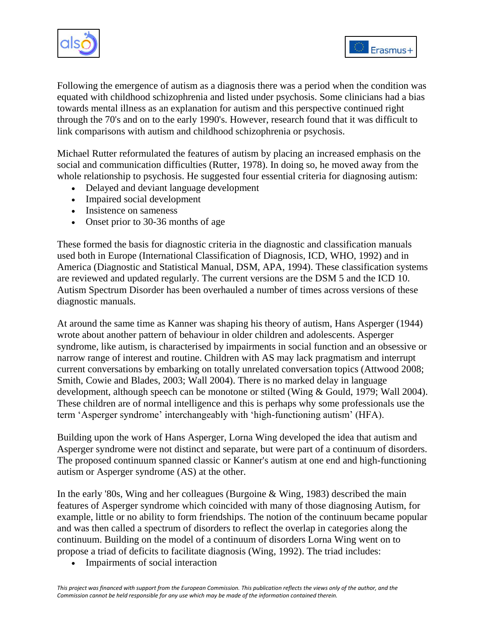



Following the emergence of autism as a diagnosis there was a period when the condition was equated with childhood schizophrenia and listed under psychosis. Some clinicians had a bias towards mental illness as an explanation for autism and this perspective continued right through the 70's and on to the early 1990's. However, research found that it was difficult to link comparisons with autism and childhood schizophrenia or psychosis.

Michael Rutter reformulated the features of autism by placing an increased emphasis on the social and communication difficulties (Rutter, 1978). In doing so, he moved away from the whole relationship to psychosis. He suggested four essential criteria for diagnosing autism:

- Delayed and deviant language development
- Impaired social development
- Insistence on sameness
- Onset prior to 30-36 months of age

These formed the basis for diagnostic criteria in the diagnostic and classification manuals used both in Europe (International Classification of Diagnosis, ICD, WHO, 1992) and in America (Diagnostic and Statistical Manual, DSM, APA, 1994). These classification systems are reviewed and updated regularly. The current versions are the DSM 5 and the ICD 10. Autism Spectrum Disorder has been overhauled a number of times across versions of these diagnostic manuals.

At around the same time as Kanner was shaping his theory of autism, Hans Asperger (1944) wrote about another pattern of behaviour in older children and adolescents. Asperger syndrome, like autism, is characterised by impairments in social function and an obsessive or narrow range of interest and routine. Children with AS may lack pragmatism and interrupt current conversations by embarking on totally unrelated conversation topics (Attwood 2008; Smith, Cowie and Blades, 2003; Wall 2004). There is no marked delay in language development, although speech can be monotone or stilted (Wing & Gould, 1979; Wall 2004). These children are of normal intelligence and this is perhaps why some professionals use the term "Asperger syndrome" interchangeably with "high-functioning autism" (HFA).

Building upon the work of Hans Asperger, Lorna Wing developed the idea that autism and Asperger syndrome were not distinct and separate, but were part of a continuum of disorders. The proposed continuum spanned classic or Kanner's autism at one end and high-functioning autism or Asperger syndrome (AS) at the other.

In the early '80s, Wing and her colleagues (Burgoine & Wing, 1983) described the main features of Asperger syndrome which coincided with many of those diagnosing Autism, for example, little or no ability to form friendships. The notion of the continuum became popular and was then called a spectrum of disorders to reflect the overlap in categories along the continuum. Building on the model of a continuum of disorders Lorna Wing went on to propose a triad of deficits to facilitate diagnosis (Wing, 1992). The triad includes:

• Impairments of social interaction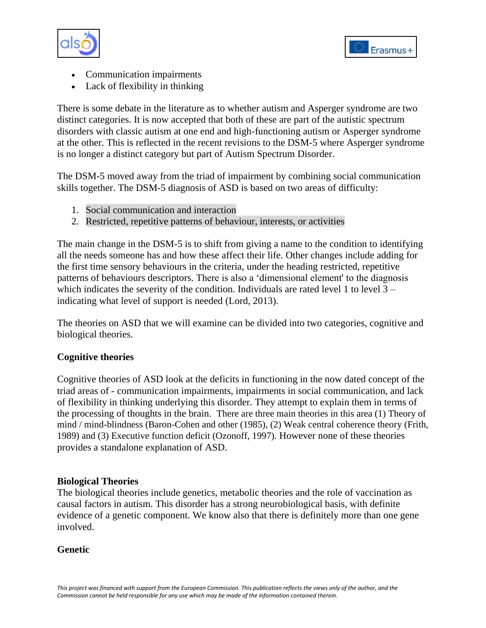



- Communication impairments
- Lack of flexibility in thinking

There is some debate in the literature as to whether autism and Asperger syndrome are two distinct categories. It is now accepted that both of these are part of the autistic spectrum disorders with classic autism at one end and high-functioning autism or Asperger syndrome at the other. This is reflected in the recent revisions to the DSM-5 where Asperger syndrome is no longer a distinct category but part of Autism Spectrum Disorder.

The DSM-5 moved away from the triad of impairment by combining social communication skills together. The DSM-5 diagnosis of ASD is based on two areas of difficulty:

- 1. Social communication and interaction
- 2. Restricted, repetitive patterns of behaviour, interests, or activities

The main change in the DSM-5 is to shift from giving a name to the condition to identifying all the needs someone has and how these affect their life. Other changes include adding for the first time sensory behaviours in the criteria, under the heading restricted, repetitive patterns of behaviours descriptors. There is also a "dimensional element' to the diagnosis which indicates the severity of the condition. Individuals are rated level 1 to level  $3$ indicating what level of support is needed (Lord, 2013).

The theories on ASD that we will examine can be divided into two categories, cognitive and biological theories.

# **Cognitive theories**

Cognitive theories of ASD look at the deficits in functioning in the now dated concept of the triad areas of - communication impairments, impairments in social communication, and lack of flexibility in thinking underlying this disorder. They attempt to explain them in terms of the processing of thoughts in the brain. There are three main theories in this area (1) Theory of mind / mind-blindness (Baron-Cohen and other (1985), (2) Weak central coherence theory (Frith, 1989) and (3) Executive function deficit (Ozonoff, 1997). However none of these theories provides a standalone explanation of ASD.

## **Biological Theories**

The biological theories include genetics, metabolic theories and the role of vaccination as causal factors in autism. This disorder has a strong neurobiological basis, with definite evidence of a genetic component. We know also that there is definitely more than one gene involved.

## **Genetic**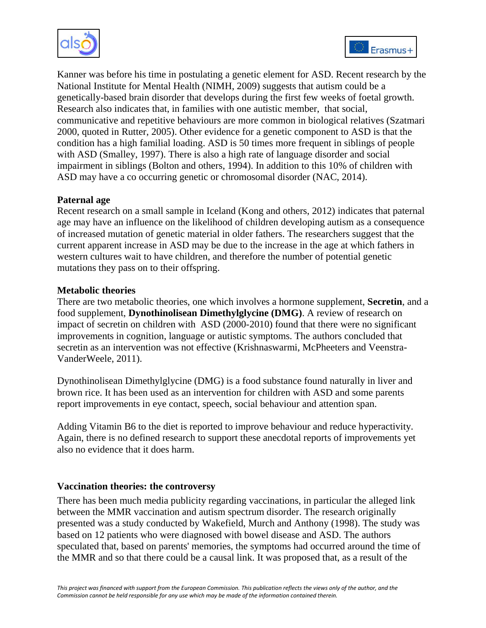



Kanner was before his time in postulating a genetic element for ASD. Recent research by the National Institute for Mental Health (NIMH, 2009) suggests that autism could be a genetically-based brain disorder that develops during the first few weeks of foetal growth. Research also indicates that, in families with one autistic member, that social, communicative and repetitive behaviours are more common in biological relatives (Szatmari 2000, quoted in Rutter, 2005). Other evidence for a genetic component to ASD is that the condition has a high familial loading. ASD is 50 times more frequent in siblings of people with ASD (Smalley, 1997). There is also a high rate of language disorder and social impairment in siblings (Bolton and others, 1994). In addition to this 10% of children with ASD may have a co occurring genetic or chromosomal disorder (NAC, 2014).

# **Paternal age**

Recent research on a small sample in Iceland (Kong and others, 2012) indicates that paternal age may have an influence on the likelihood of children developing autism as a consequence of increased mutation of genetic material in older fathers. The researchers suggest that the current apparent increase in ASD may be due to the increase in the age at which fathers in western cultures wait to have children, and therefore the number of potential genetic mutations they pass on to their offspring.

## **Metabolic theories**

There are two metabolic theories, one which involves a hormone supplement, **Secretin**, and a food supplement, **Dynothinolisean Dimethylglycine (DMG)**. A review of research on impact of secretin on children with ASD (2000-2010) found that there were no significant improvements in cognition, language or autistic symptoms. The authors concluded that secretin as an intervention was not effective (Krishnaswarmi, McPheeters and Veenstra-VanderWeele, 2011).

Dynothinolisean Dimethylglycine (DMG) is a food substance found naturally in liver and brown rice. It has been used as an intervention for children with ASD and some parents report improvements in eye contact, speech, social behaviour and attention span.

Adding Vitamin B6 to the diet is reported to improve behaviour and reduce hyperactivity. Again, there is no defined research to support these anecdotal reports of improvements yet also no evidence that it does harm.

## **Vaccination theories: the controversy**

There has been much media publicity regarding vaccinations, in particular the alleged link between the MMR vaccination and autism spectrum disorder. The research originally presented was a study conducted by Wakefield, Murch and Anthony (1998). The study was based on 12 patients who were diagnosed with bowel disease and ASD. The authors speculated that, based on parents' memories, the symptoms had occurred around the time of the MMR and so that there could be a causal link. It was proposed that, as a result of the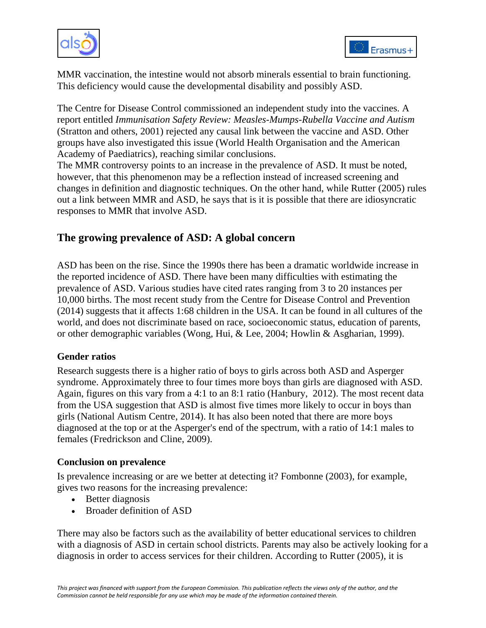



MMR vaccination, the intestine would not absorb minerals essential to brain functioning. This deficiency would cause the developmental disability and possibly ASD.

The Centre for Disease Control commissioned an independent study into the vaccines. A report entitled *Immunisation Safety Review: Measles-Mumps-Rubella Vaccine and Autism* (Stratton and others, 2001) rejected any causal link between the vaccine and ASD. Other groups have also investigated this issue (World Health Organisation and the American Academy of Paediatrics), reaching similar conclusions.

The MMR controversy points to an increase in the prevalence of ASD. It must be noted, however, that this phenomenon may be a reflection instead of increased screening and changes in definition and diagnostic techniques. On the other hand, while Rutter (2005) rules out a link between MMR and ASD, he says that is it is possible that there are idiosyncratic responses to MMR that involve ASD.

# **The growing prevalence of ASD: A global concern**

ASD has been on the rise. Since the 1990s there has been a dramatic worldwide increase in the reported incidence of ASD. There have been many difficulties with estimating the prevalence of ASD. Various studies have cited rates ranging from 3 to 20 instances per 10,000 births. The most recent study from the Centre for Disease Control and Prevention (2014) suggests that it affects 1:68 children in the USA. It can be found in all cultures of the world, and does not discriminate based on race, socioeconomic status, education of parents, or other demographic variables (Wong, Hui, & Lee, 2004; Howlin & Asgharian, 1999).

# **Gender ratios**

Research suggests there is a higher ratio of boys to girls across both ASD and Asperger syndrome. Approximately three to four times more boys than girls are diagnosed with ASD. Again, figures on this vary from a 4:1 to an 8:1 ratio (Hanbury, 2012). The most recent data from the USA suggestion that ASD is almost five times more likely to occur in boys than girls (National Autism Centre, 2014). It has also been noted that there are more boys diagnosed at the top or at the Asperger's end of the spectrum, with a ratio of 14:1 males to females (Fredrickson and Cline, 2009).

## **Conclusion on prevalence**

Is prevalence increasing or are we better at detecting it? Fombonne (2003), for example, gives two reasons for the increasing prevalence:

- Better diagnosis
- Broader definition of ASD

There may also be factors such as the availability of better educational services to children with a diagnosis of ASD in certain school districts. Parents may also be actively looking for a diagnosis in order to access services for their children. According to Rutter (2005), it is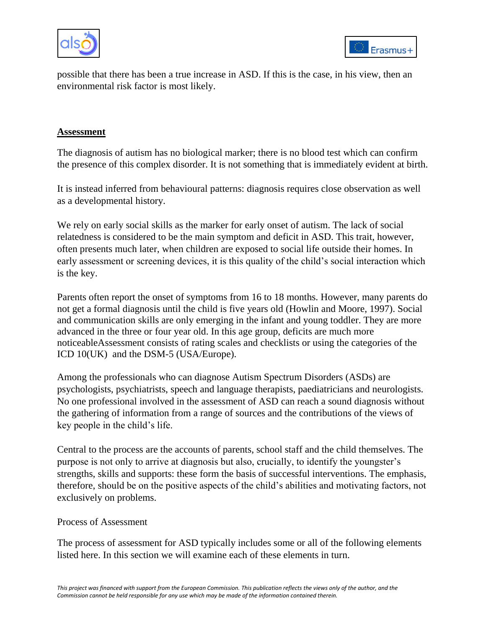



possible that there has been a true increase in ASD. If this is the case, in his view, then an environmental risk factor is most likely.

#### **Assessment**

The diagnosis of autism has no biological marker; there is no blood test which can confirm the presence of this complex disorder. It is not something that is immediately evident at birth.

It is instead inferred from behavioural patterns: diagnosis requires close observation as well as a developmental history.

We rely on early social skills as the marker for early onset of autism. The lack of social relatedness is considered to be the main symptom and deficit in ASD. This trait, however, often presents much later, when children are exposed to social life outside their homes. In early assessment or screening devices, it is this quality of the child"s social interaction which is the key.

Parents often report the onset of symptoms from 16 to 18 months. However, many parents do not get a formal diagnosis until the child is five years old (Howlin and Moore, 1997). Social and communication skills are only emerging in the infant and young toddler. They are more advanced in the three or four year old. In this age group, deficits are much more noticeableAssessment consists of rating scales and checklists or using the categories of the ICD 10(UK) and the DSM-5 (USA/Europe).

Among the professionals who can diagnose Autism Spectrum Disorders (ASDs) are psychologists, psychiatrists, speech and language therapists, paediatricians and neurologists. No one professional involved in the assessment of ASD can reach a sound diagnosis without the gathering of information from a range of sources and the contributions of the views of key people in the child"s life.

Central to the process are the accounts of parents, school staff and the child themselves. The purpose is not only to arrive at diagnosis but also, crucially, to identify the youngster"s strengths, skills and supports: these form the basis of successful interventions. The emphasis, therefore, should be on the positive aspects of the child"s abilities and motivating factors, not exclusively on problems.

#### Process of Assessment

The process of assessment for ASD typically includes some or all of the following elements listed here. In this section we will examine each of these elements in turn.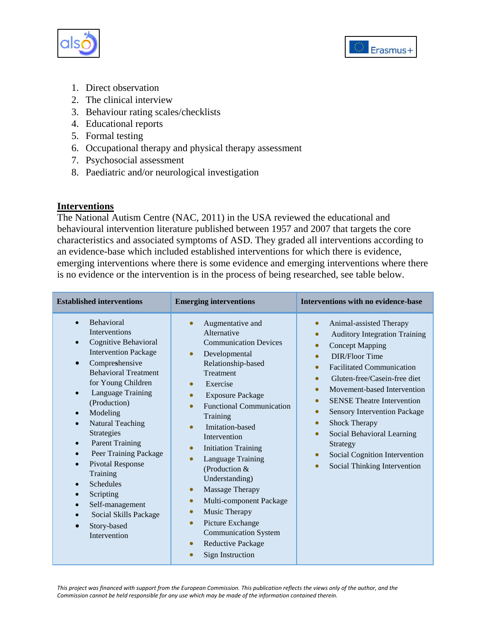



- 1. Direct observation
- 2. The clinical interview
- 3. Behaviour rating scales/checklists
- 4. Educational reports
- 5. Formal testing
- 6. Occupational therapy and physical therapy assessment
- 7. Psychosocial assessment
- 8. Paediatric and/or neurological investigation

## **Interventions**

The National Autism Centre (NAC, 2011) in the USA reviewed the educational and behavioural intervention literature published between 1957 and 2007 that targets the core characteristics and associated symptoms of ASD. They graded all interventions according to an evidence-base which included established interventions for which there is evidence, emerging interventions where there is some evidence and emerging interventions where there is no evidence or the intervention is in the process of being researched, see table below.

| <b>Established interventions</b>                                                                                                                                                                                                                                                                                                                                                                                                                                                                                                                                                     | <b>Emerging interventions</b>                                                                                                                                                                                                                                                                                                                                                                                                                                                                                                                                                                                                                                   | Interventions with no evidence-base                                                                                                                                                                                                                                                                                                                                                                                                                                                                                                                                                             |
|--------------------------------------------------------------------------------------------------------------------------------------------------------------------------------------------------------------------------------------------------------------------------------------------------------------------------------------------------------------------------------------------------------------------------------------------------------------------------------------------------------------------------------------------------------------------------------------|-----------------------------------------------------------------------------------------------------------------------------------------------------------------------------------------------------------------------------------------------------------------------------------------------------------------------------------------------------------------------------------------------------------------------------------------------------------------------------------------------------------------------------------------------------------------------------------------------------------------------------------------------------------------|-------------------------------------------------------------------------------------------------------------------------------------------------------------------------------------------------------------------------------------------------------------------------------------------------------------------------------------------------------------------------------------------------------------------------------------------------------------------------------------------------------------------------------------------------------------------------------------------------|
| Behavioral<br><b>Interventions</b><br>Cognitive Behavioral<br><b>Intervention Package</b><br>Compreshensive<br>$\bullet$<br><b>Behavioral Treatment</b><br>for Young Children<br>Language Training<br>$\bullet$<br>(Production)<br>Modeling<br>$\bullet$<br><b>Natural Teaching</b><br>$\bullet$<br>Strategies<br><b>Parent Training</b><br>$\bullet$<br>Peer Training Package<br>$\bullet$<br>Pivotal Response<br>$\bullet$<br>Training<br>Schedules<br>$\bullet$<br>Scripting<br>Self-management<br>$\bullet$<br>Social Skills Package<br>$\bullet$<br>Story-based<br>Intervention | Augmentative and<br>Alternative<br><b>Communication Devices</b><br>Developmental<br>$\bullet$<br>Relationship-based<br>Treatment<br>Exercise<br>$\bullet$<br><b>Exposure Package</b><br>$\bullet$<br><b>Functional Communication</b><br>$\bullet$<br>Training<br>Imitation-based<br>ō<br>Intervention<br><b>Initiation Training</b><br>$\bullet$<br>Language Training<br>$\bullet$<br>(Production &<br>Understanding)<br><b>Massage Therapy</b><br>$\bullet$<br>Multi-component Package<br>$\bullet$<br>Music Therapy<br>$\bullet$<br>Picture Exchange<br>$\bullet$<br><b>Communication System</b><br>Reductive Package<br>$\bullet$<br><b>Sign Instruction</b> | Animal-assisted Therapy<br>$\bullet$<br><b>Auditory Integration Training</b><br>$\bullet$<br><b>Concept Mapping</b><br>$\bullet$<br>DIR/Floor Time<br>$\bullet$<br><b>Facilitated Communication</b><br>$\bullet$<br>Gluten-free/Casein-free diet<br>$\bullet$<br>Movement-based Intervention<br>$\bullet$<br><b>SENSE Theatre Intervention</b><br>$\bullet$<br><b>Sensory Intervention Package</b><br>$\bullet$<br>Shock Therapy<br>$\bullet$<br>Social Behavioral Learning<br>$\bullet$<br>Strategy<br>Social Cognition Intervention<br>$\bullet$<br>Social Thinking Intervention<br>$\bullet$ |

*This project was financed with support from the European Commission. This publication reflects the views only of the author, and the Commission cannot be held responsible for any use which may be made of the information contained therein.*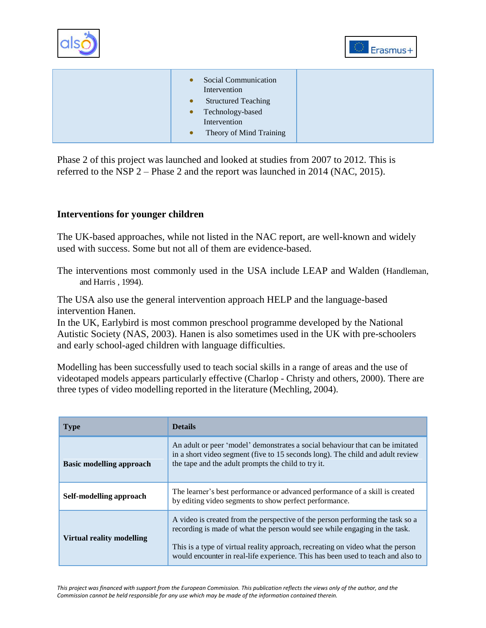



|  | Social Communication<br>$\bullet$<br>Intervention<br><b>Structured Teaching</b><br>Technology-based<br>Intervention<br>Theory of Mind Training |  |
|--|------------------------------------------------------------------------------------------------------------------------------------------------|--|
|--|------------------------------------------------------------------------------------------------------------------------------------------------|--|

Phase 2 of this project was launched and looked at studies from 2007 to 2012. This is referred to the NSP 2 – Phase 2 and the report was launched in 2014 (NAC, 2015).

## **Interventions for younger children**

The UK-based approaches, while not listed in the NAC report, are well-known and widely used with success. Some but not all of them are evidence-based.

The interventions most commonly used in the USA include LEAP and Walden (Handleman, and Harris , 1994).

The USA also use the general intervention approach HELP and the language-based intervention Hanen.

In the UK, Earlybird is most common preschool programme developed by the National Autistic Society (NAS, 2003). Hanen is also sometimes used in the UK with pre-schoolers and early school-aged children with language difficulties.

Modelling has been successfully used to teach social skills in a range of areas and the use of videotaped models appears particularly effective (Charlop - Christy and others, 2000). There are three types of video modelling reported in the literature (Mechling, 2004).

| <b>Type</b>                      | <b>Details</b>                                                                                                                                                                                                                                                                                                                      |
|----------------------------------|-------------------------------------------------------------------------------------------------------------------------------------------------------------------------------------------------------------------------------------------------------------------------------------------------------------------------------------|
| <b>Basic modelling approach</b>  | An adult or peer 'model' demonstrates a social behaviour that can be imitated<br>in a short video segment (five to 15 seconds long). The child and adult review<br>the tape and the adult prompts the child to try it.                                                                                                              |
| Self-modelling approach          | The learner's best performance or advanced performance of a skill is created<br>by editing video segments to show perfect performance.                                                                                                                                                                                              |
| <b>Virtual reality modelling</b> | A video is created from the perspective of the person performing the task so a<br>recording is made of what the person would see while engaging in the task.<br>This is a type of virtual reality approach, recreating on video what the person<br>would encounter in real-life experience. This has been used to teach and also to |

*This project was financed with support from the European Commission. This publication reflects the views only of the author, and the Commission cannot be held responsible for any use which may be made of the information contained therein.*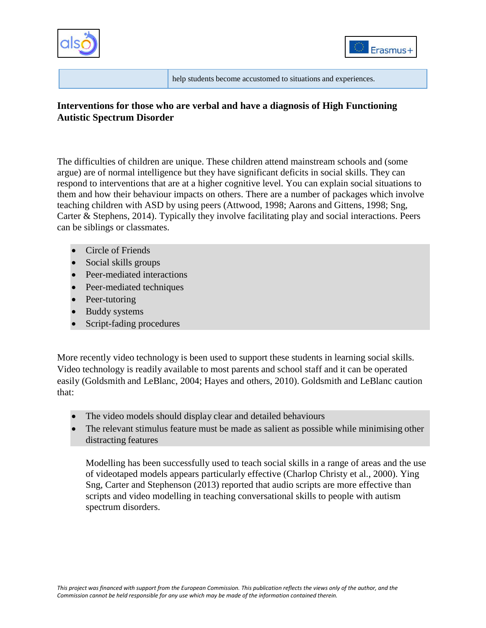



help students become accustomed to situations and experiences.

# **Interventions for those who are verbal and have a diagnosis of High Functioning Autistic Spectrum Disorder**

The difficulties of children are unique. These children attend mainstream schools and (some argue) are of normal intelligence but they have significant deficits in social skills. They can respond to interventions that are at a higher cognitive level. You can explain social situations to them and how their behaviour impacts on others. There are a number of packages which involve teaching children with ASD by using peers (Attwood, 1998; Aarons and Gittens, 1998; Sng, Carter & Stephens, 2014). Typically they involve facilitating play and social interactions. Peers can be siblings or classmates.

- Circle of Friends
- Social skills groups
- Peer-mediated interactions
- Peer-mediated techniques
- Peer-tutoring
- Buddy systems
- Script-fading procedures

More recently video technology is been used to support these students in learning social skills. Video technology is readily available to most parents and school staff and it can be operated easily (Goldsmith and LeBlanc, 2004; Hayes and others, 2010). Goldsmith and LeBlanc caution that:

- The video models should display clear and detailed behaviours
- The relevant stimulus feature must be made as salient as possible while minimising other distracting features

Modelling has been successfully used to teach social skills in a range of areas and the use of videotaped models appears particularly effective (Charlop Christy et al., 2000). Ying Sng, Carter and Stephenson (2013) reported that audio scripts are more effective than scripts and video modelling in teaching conversational skills to people with autism spectrum disorders.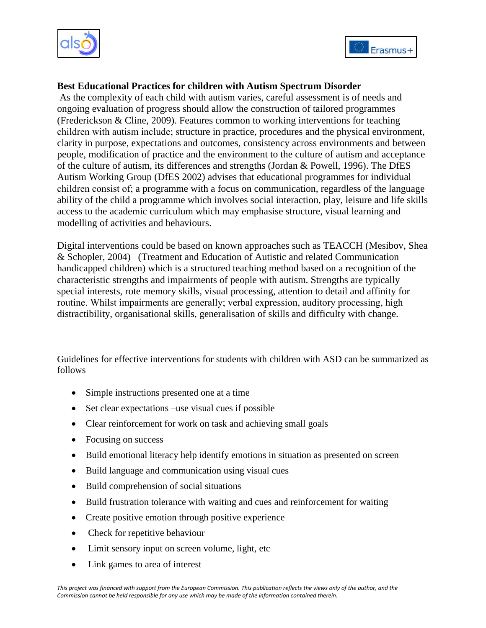



# **Best Educational Practices for children with Autism Spectrum Disorder**

As the complexity of each child with autism varies, careful assessment is of needs and ongoing evaluation of progress should allow the construction of tailored programmes (Frederickson & Cline, 2009). Features common to working interventions for teaching children with autism include; structure in practice, procedures and the physical environment, clarity in purpose, expectations and outcomes, consistency across environments and between people, modification of practice and the environment to the culture of autism and acceptance of the culture of autism, its differences and strengths (Jordan & Powell, 1996). The DfES Autism Working Group (DfES 2002) advises that educational programmes for individual children consist of; a programme with a focus on communication, regardless of the language ability of the child a programme which involves social interaction, play, leisure and life skills access to the academic curriculum which may emphasise structure, visual learning and modelling of activities and behaviours.

Digital interventions could be based on known approaches such as TEACCH (Mesibov, Shea & Schopler, 2004) (Treatment and Education of Autistic and related Communication handicapped children) which is a structured teaching method based on a recognition of the characteristic strengths and impairments of people with autism. Strengths are typically special interests, rote memory skills, visual processing, attention to detail and affinity for routine. Whilst impairments are generally; verbal expression, auditory processing, high distractibility, organisational skills, generalisation of skills and difficulty with change.

Guidelines for effective interventions for students with children with ASD can be summarized as follows

- Simple instructions presented one at a time
- Set clear expectations –use visual cues if possible
- Clear reinforcement for work on task and achieving small goals
- Focusing on success
- Build emotional literacy help identify emotions in situation as presented on screen
- Build language and communication using visual cues
- Build comprehension of social situations
- Build frustration tolerance with waiting and cues and reinforcement for waiting
- Create positive emotion through positive experience
- Check for repetitive behaviour
- Limit sensory input on screen volume, light, etc
- Link games to area of interest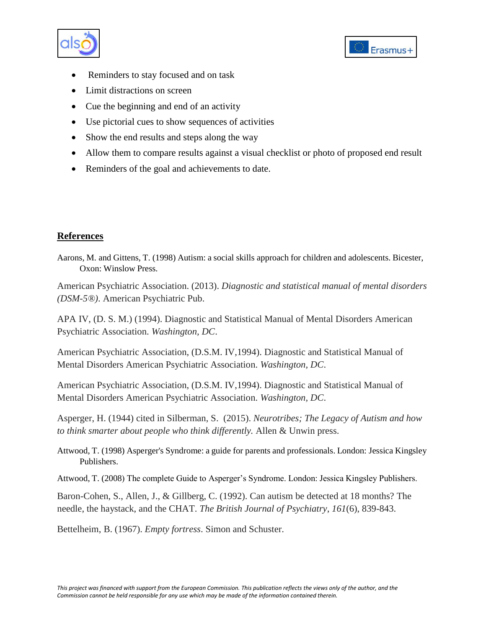



- Reminders to stay focused and on task
- Limit distractions on screen
- Cue the beginning and end of an activity
- Use pictorial cues to show sequences of activities
- Show the end results and steps along the way
- Allow them to compare results against a visual checklist or photo of proposed end result
- Reminders of the goal and achievements to date.

# **References**

Aarons, M. and Gittens, T. (1998) Autism: a social skills approach for children and adolescents. Bicester, Oxon: Winslow Press.

American Psychiatric Association. (2013). *Diagnostic and statistical manual of mental disorders (DSM-5®)*. American Psychiatric Pub.

APA IV, (D. S. M.) (1994). Diagnostic and Statistical Manual of Mental Disorders American Psychiatric Association. *Washington, DC*.

American Psychiatric Association, (D.S.M. IV,1994). Diagnostic and Statistical Manual of Mental Disorders American Psychiatric Association. *Washington, DC*.

American Psychiatric Association, (D.S.M. IV,1994). Diagnostic and Statistical Manual of Mental Disorders American Psychiatric Association. *Washington, DC*.

Asperger, H. (1944) cited in Silberman, S. (2015). *Neurotribes; The Legacy of Autism and how to think smarter about people who think differently.* Allen & Unwin press.

Attwood, T. (1998) Asperger's Syndrome: a guide for parents and professionals. London: Jessica Kingsley Publishers.

Attwood, T. (2008) The complete Guide to Asperger"s Syndrome. London: Jessica Kingsley Publishers.

Baron-Cohen, S., Allen, J., & Gillberg, C. (1992). Can autism be detected at 18 months? The needle, the haystack, and the CHAT. *The British Journal of Psychiatry*, *161*(6), 839-843.

Bettelheim, B. (1967). *Empty fortress*. Simon and Schuster.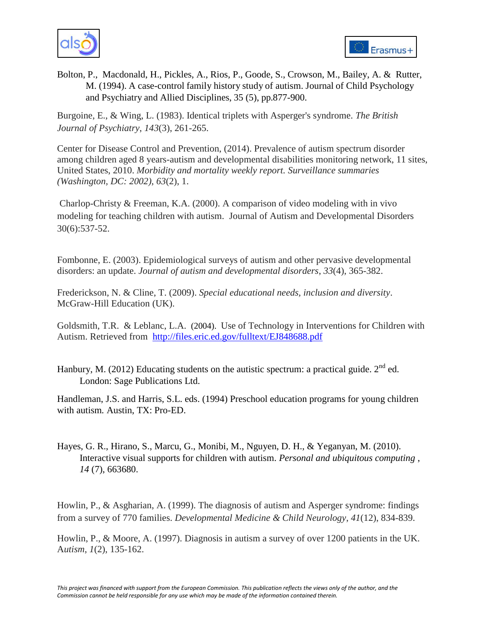



Bolton, P., Macdonald, H., Pickles, A., Rios, P., Goode, S., Crowson, M., Bailey, A. & Rutter, M. (1994). A case-control family history study of autism. Journal of Child Psychology and Psychiatry and Allied Disciplines, 35 (5), pp.877-900.

Burgoine, E., & Wing, L. (1983). Identical triplets with Asperger's syndrome. *The British Journal of Psychiatry*, *143*(3), 261-265.

Center for Disease Control and Prevention, (2014). Prevalence of autism spectrum disorder among children aged 8 years-autism and developmental disabilities monitoring network, 11 sites, United States, 2010. *Morbidity and mortality weekly report. Surveillance summaries (Washington, DC: 2002)*, *63*(2), 1.

Charlop-Christy & Freeman, K.A. (2000). A comparison of video modeling with in vivo modeling for teaching children with autism. Journal of Autism and Developmental Disorders 30(6):537-52.

Fombonne, E. (2003). Epidemiological surveys of autism and other pervasive developmental disorders: an update. *Journal of autism and developmental disorders*, *33*(4), 365-382.

Frederickson, N. & Cline, T. (2009). *Special educational needs, inclusion and diversity*. McGraw-Hill Education (UK).

Goldsmith, T.R. & Leblanc, L.A. (2004). Use of Technology in Interventions for Children with Autism. Retrieved from <http://files.eric.ed.gov/fulltext/EJ848688.pdf>

Hanbury, M. (2012) Educating students on the autistic spectrum: a practical guide.  $2<sup>nd</sup>$  ed. London: Sage Publications Ltd.

Handleman, J.S. and Harris, S.L. eds. (1994) Preschool education programs for young children with autism*.* Austin, TX: Pro-ED.

Hayes, G. R., Hirano, S., Marcu, G., Monibi, M., Nguyen, D. H., & Yeganyan, M. (2010). Interactive visual supports for children with autism. *Personal and ubiquitous computing* , *14* (7), 663680.

Howlin, P., & Asgharian, A. (1999). The diagnosis of autism and Asperger syndrome: findings from a survey of 770 families. *Developmental Medicine & Child Neurology*, *41*(12), 834-839.

Howlin, P., & Moore, A. (1997). Diagnosis in autism a survey of over 1200 patients in the UK. A*utism*, *1*(2), 135-162.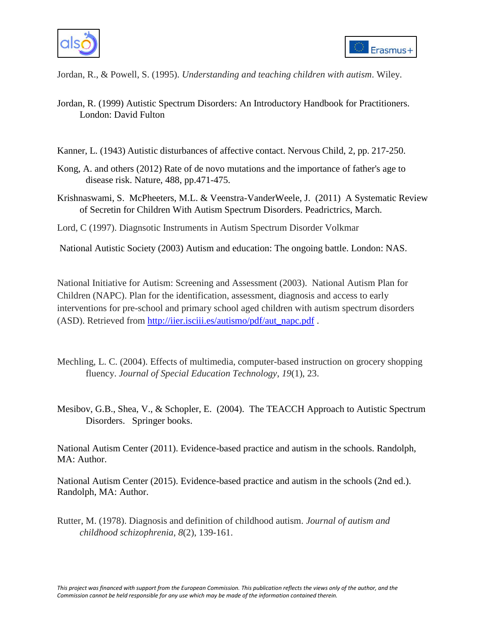



Jordan, R., & Powell, S. (1995). *Understanding and teaching children with autism*. Wiley.

- Jordan, R. (1999) Autistic Spectrum Disorders: An Introductory Handbook for Practitioners. London: David Fulton
- Kanner, L. (1943) Autistic disturbances of affective contact. Nervous Child, 2, pp. 217-250.
- Kong, A. and others (2012) Rate of de novo mutations and the importance of father's age to disease risk. Nature, 488, pp.471-475.
- Krishnaswami, S. McPheeters, M.L. & Veenstra-VanderWeele, J. (2011) A Systematic Review of Secretin for Children With Autism Spectrum Disorders. Peadrictrics, March.

Lord, C (1997). Diagnsotic Instruments in Autism Spectrum Disorder Volkmar

National Autistic Society (2003) Autism and education: The ongoing battle. London: NAS.

National Initiative for Autism: Screening and Assessment (2003). National Autism Plan for Children (NAPC). Plan for the identification, assessment, diagnosis and access to early interventions for pre-school and primary school aged children with autism spectrum disorders (ASD). Retrieved from [http://iier.isciii.es/autismo/pdf/aut\\_napc.pdf](http://iier.isciii.es/autismo/pdf/aut_napc.pdf) .

- Mechling, L. C. (2004). Effects of multimedia, computer-based instruction on grocery shopping fluency. *Journal of Special Education Technology*, *19*(1), 23.
- Mesibov, G.B., Shea, V., & Schopler, E. (2004). The TEACCH Approach to Autistic Spectrum Disorders. Springer books.

National Autism Center (2011). Evidence-based practice and autism in the schools. Randolph, MA: Author.

National Autism Center (2015). Evidence-based practice and autism in the schools (2nd ed.). Randolph, MA: Author.

Rutter, M. (1978). Diagnosis and definition of childhood autism. *Journal of autism and childhood schizophrenia*, *8*(2), 139-161.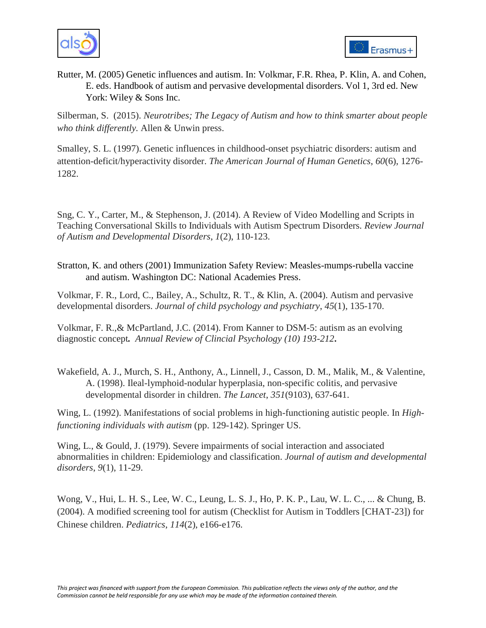



Rutter, M. (2005) Genetic influences and autism. In: Volkmar, F.R. Rhea, P. Klin, A. and Cohen, E. eds. Handbook of autism and pervasive developmental disorders. Vol 1, 3rd ed. New York: Wiley & Sons Inc.

Silberman, S. (2015). *Neurotribes; The Legacy of Autism and how to think smarter about people who think differently.* Allen & Unwin press.

Smalley, S. L. (1997). Genetic influences in childhood-onset psychiatric disorders: autism and attention-deficit/hyperactivity disorder. *The American Journal of Human Genetics*, *60*(6), 1276- 1282.

Sng, C. Y., Carter, M., & Stephenson, J. (2014). A Review of Video Modelling and Scripts in Teaching Conversational Skills to Individuals with Autism Spectrum Disorders. *Review Journal of Autism and Developmental Disorders*, *1*(2), 110-123.

Stratton, K. and others (2001) Immunization Safety Review: Measles-mumps-rubella vaccine and autism. Washington DC: National Academies Press.

Volkmar, F. R., Lord, C., Bailey, A., Schultz, R. T., & Klin, A. (2004). Autism and pervasive developmental disorders. *Journal of child psychology and psychiatry*, *45*(1), 135-170.

Volkmar, F. R.,& McPartland, J.C. (2014). From Kanner to DSM-5: autism as an evolving diagnostic concept*. Annual Review of Clincial Psychology (10) 193-212***.**

Wakefield, A. J., Murch, S. H., Anthony, A., Linnell, J., Casson, D. M., Malik, M., & Valentine, A. (1998). Ileal-lymphoid-nodular hyperplasia, non-specific colitis, and pervasive developmental disorder in children. *The Lancet*, *351*(9103), 637-641.

Wing, L. (1992). Manifestations of social problems in high-functioning autistic people. In *Highfunctioning individuals with autism* (pp. 129-142). Springer US.

Wing, L., & Gould, J. (1979). Severe impairments of social interaction and associated abnormalities in children: Epidemiology and classification. *Journal of autism and developmental disorders*, *9*(1), 11-29.

Wong, V., Hui, L. H. S., Lee, W. C., Leung, L. S. J., Ho, P. K. P., Lau, W. L. C., ... & Chung, B. (2004). A modified screening tool for autism (Checklist for Autism in Toddlers [CHAT-23]) for Chinese children. *Pediatrics*, *114*(2), e166-e176.